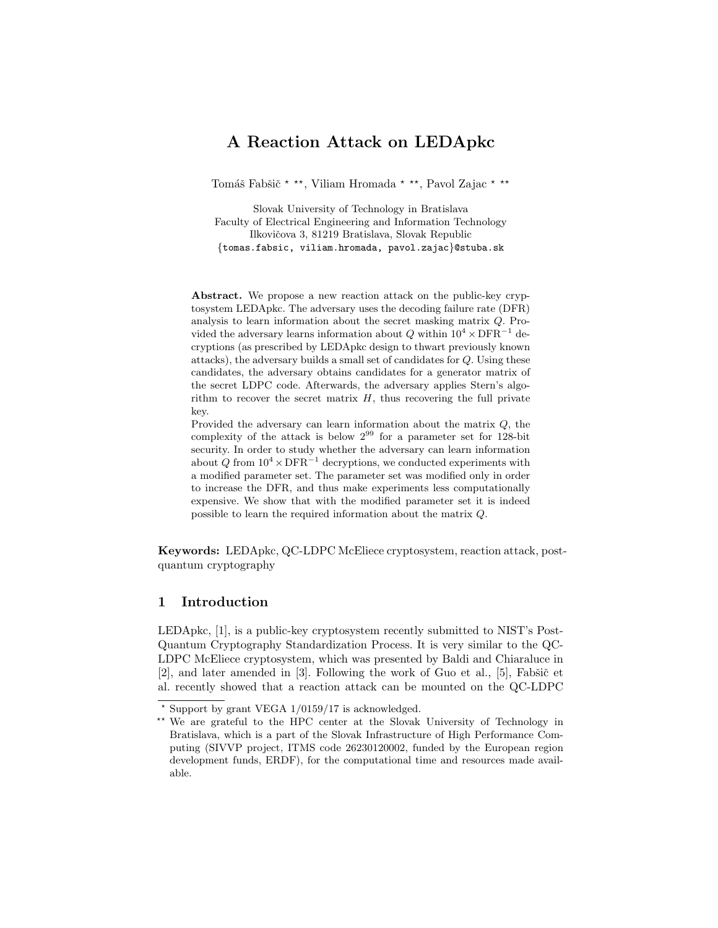# A Reaction Attack on LEDApkc

Tomáš Fabšič<sup>\*</sup>\*\*, Viliam Hromada \*<sup>\*\*</sup>, Pavol Zajac \*<sup>\*\*</sup>

Slovak University of Technology in Bratislava Faculty of Electrical Engineering and Information Technology Ilkovičova 3, 81219 Bratislava, Slovak Republic {tomas.fabsic, viliam.hromada, pavol.zajac}@stuba.sk

Abstract. We propose a new reaction attack on the public-key cryptosystem LEDApkc. The adversary uses the decoding failure rate (DFR) analysis to learn information about the secret masking matrix Q. Provided the adversary learns information about Q within  $10^4 \times \text{DFR}^{-1}$  decryptions (as prescribed by LEDApkc design to thwart previously known attacks), the adversary builds a small set of candidates for Q. Using these candidates, the adversary obtains candidates for a generator matrix of the secret LDPC code. Afterwards, the adversary applies Stern's algorithm to recover the secret matrix  $H$ , thus recovering the full private key.

Provided the adversary can learn information about the matrix Q, the complexity of the attack is below  $2^{99}$  for a parameter set for 128-bit security. In order to study whether the adversary can learn information about Q from  $10^4 \times \text{DFR}^{-1}$  decryptions, we conducted experiments with a modified parameter set. The parameter set was modified only in order to increase the DFR, and thus make experiments less computationally expensive. We show that with the modified parameter set it is indeed possible to learn the required information about the matrix Q.

Keywords: LEDApkc, QC-LDPC McEliece cryptosystem, reaction attack, postquantum cryptography

# 1 Introduction

LEDApkc, [1], is a public-key cryptosystem recently submitted to NIST's Post-Quantum Cryptography Standardization Process. It is very similar to the QC-LDPC McEliece cryptosystem, which was presented by Baldi and Chiaraluce in  $[2]$ , and later amended in  $[3]$ . Following the work of Guo et al.,  $[5]$ , Fabšič et al. recently showed that a reaction attack can be mounted on the QC-LDPC

 $*$  Support by grant VEGA  $1/0159/17$  is acknowledged.

<sup>\*\*</sup> We are grateful to the HPC center at the Slovak University of Technology in Bratislava, which is a part of the Slovak Infrastructure of High Performance Computing (SIVVP project, ITMS code 26230120002, funded by the European region development funds, ERDF), for the computational time and resources made available.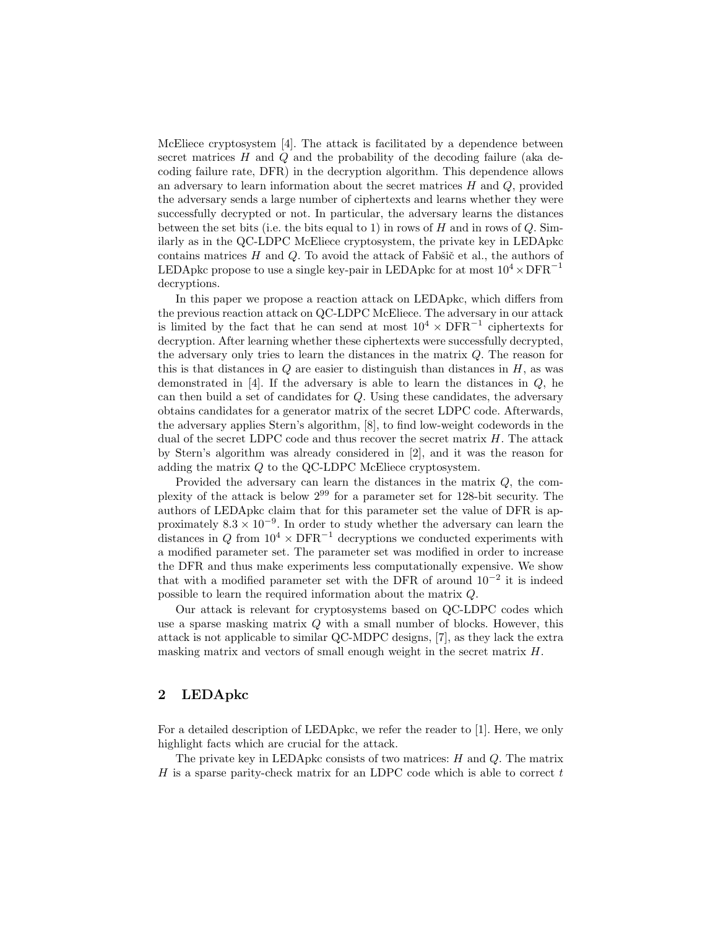McEliece cryptosystem [4]. The attack is facilitated by a dependence between secret matrices  $H$  and  $Q$  and the probability of the decoding failure (aka decoding failure rate, DFR) in the decryption algorithm. This dependence allows an adversary to learn information about the secret matrices  $H$  and  $Q$ , provided the adversary sends a large number of ciphertexts and learns whether they were successfully decrypted or not. In particular, the adversary learns the distances between the set bits (i.e. the bits equal to 1) in rows of  $H$  and in rows of  $Q$ . Similarly as in the QC-LDPC McEliece cryptosystem, the private key in LEDApkc contains matrices  $H$  and  $Q$ . To avoid the attack of Fab $\check{\rm s}$ ic et al., the authors of LEDApkc propose to use a single key-pair in LEDApkc for at most  $10^4 \times \text{DFR}^{-1}$ decryptions.

In this paper we propose a reaction attack on LEDApkc, which differs from the previous reaction attack on QC-LDPC McEliece. The adversary in our attack is limited by the fact that he can send at most  $10^4 \times DFR^{-1}$  ciphertexts for decryption. After learning whether these ciphertexts were successfully decrypted, the adversary only tries to learn the distances in the matrix Q. The reason for this is that distances in  $Q$  are easier to distinguish than distances in  $H$ , as was demonstrated in [4]. If the adversary is able to learn the distances in  $Q$ , he can then build a set of candidates for Q. Using these candidates, the adversary obtains candidates for a generator matrix of the secret LDPC code. Afterwards, the adversary applies Stern's algorithm, [8], to find low-weight codewords in the dual of the secret LDPC code and thus recover the secret matrix  $H$ . The attack by Stern's algorithm was already considered in [2], and it was the reason for adding the matrix  $Q$  to the QC-LDPC McEliece cryptosystem.

Provided the adversary can learn the distances in the matrix Q, the complexity of the attack is below 2<sup>99</sup> for a parameter set for 128-bit security. The authors of LEDApkc claim that for this parameter set the value of DFR is approximately  $8.3 \times 10^{-9}$ . In order to study whether the adversary can learn the distances in Q from  $10^4 \times \text{DFR}^{-1}$  decryptions we conducted experiments with a modified parameter set. The parameter set was modified in order to increase the DFR and thus make experiments less computationally expensive. We show that with a modified parameter set with the DFR of around  $10^{-2}$  it is indeed possible to learn the required information about the matrix Q.

Our attack is relevant for cryptosystems based on QC-LDPC codes which use a sparse masking matrix  $Q$  with a small number of blocks. However, this attack is not applicable to similar QC-MDPC designs, [7], as they lack the extra masking matrix and vectors of small enough weight in the secret matrix H.

## 2 LEDApkc

For a detailed description of LEDApkc, we refer the reader to [1]. Here, we only highlight facts which are crucial for the attack.

The private key in LEDApkc consists of two matrices:  $H$  and  $Q$ . The matrix  $H$  is a sparse parity-check matrix for an LDPC code which is able to correct  $t$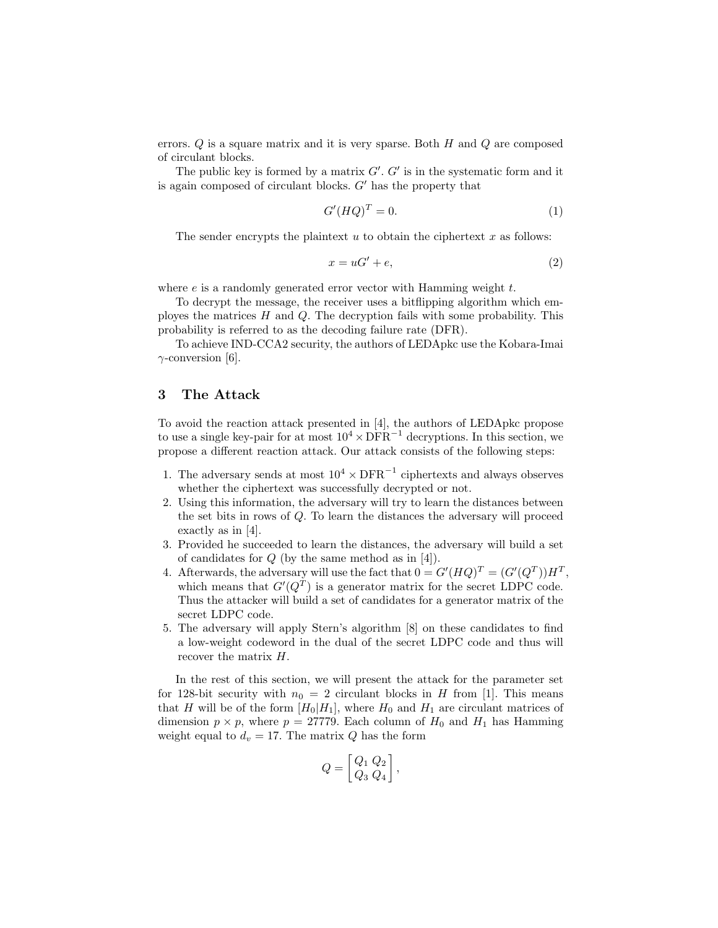errors.  $Q$  is a square matrix and it is very sparse. Both  $H$  and  $Q$  are composed of circulant blocks.

The public key is formed by a matrix  $G'$ .  $G'$  is in the systematic form and it is again composed of circulant blocks.  $G'$  has the property that

$$
G'(HQ)^T = 0.\t\t(1)
$$

The sender encrypts the plaintext  $u$  to obtain the ciphertext  $x$  as follows:

$$
x = uG' + e,\t\t(2)
$$

where  $e$  is a randomly generated error vector with Hamming weight  $t$ .

To decrypt the message, the receiver uses a bitflipping algorithm which employes the matrices  $H$  and  $Q$ . The decryption fails with some probability. This probability is referred to as the decoding failure rate (DFR).

To achieve IND-CCA2 security, the authors of LEDApkc use the Kobara-Imai  $\gamma$ -conversion [6].

## 3 The Attack

To avoid the reaction attack presented in [4], the authors of LEDApkc propose to use a single key-pair for at most  $10^4 \times \text{DFR}^{-1}$  decryptions. In this section, we propose a different reaction attack. Our attack consists of the following steps:

- 1. The adversary sends at most  $10^4 \times \text{DFR}^{-1}$  ciphertexts and always observes whether the ciphertext was successfully decrypted or not.
- 2. Using this information, the adversary will try to learn the distances between the set bits in rows of Q. To learn the distances the adversary will proceed exactly as in [4].
- 3. Provided he succeeded to learn the distances, the adversary will build a set of candidates for  $Q$  (by the same method as in [4]).
- 4. Afterwards, the adversary will use the fact that  $0 = G'(HQ)^T = (G'(Q^T))H^T$ , which means that  $G'(Q^T)$  is a generator matrix for the secret LDPC code. Thus the attacker will build a set of candidates for a generator matrix of the secret LDPC code.
- 5. The adversary will apply Stern's algorithm [8] on these candidates to find a low-weight codeword in the dual of the secret LDPC code and thus will recover the matrix H.

In the rest of this section, we will present the attack for the parameter set for 128-bit security with  $n_0 = 2$  circulant blocks in H from [1]. This means that H will be of the form  $[H_0|H_1]$ , where  $H_0$  and  $H_1$  are circulant matrices of dimension  $p \times p$ , where  $p = 27779$ . Each column of  $H_0$  and  $H_1$  has Hamming weight equal to  $d_v = 17$ . The matrix Q has the form

$$
Q = \begin{bmatrix} Q_1 & Q_2 \\ Q_3 & Q_4 \end{bmatrix},
$$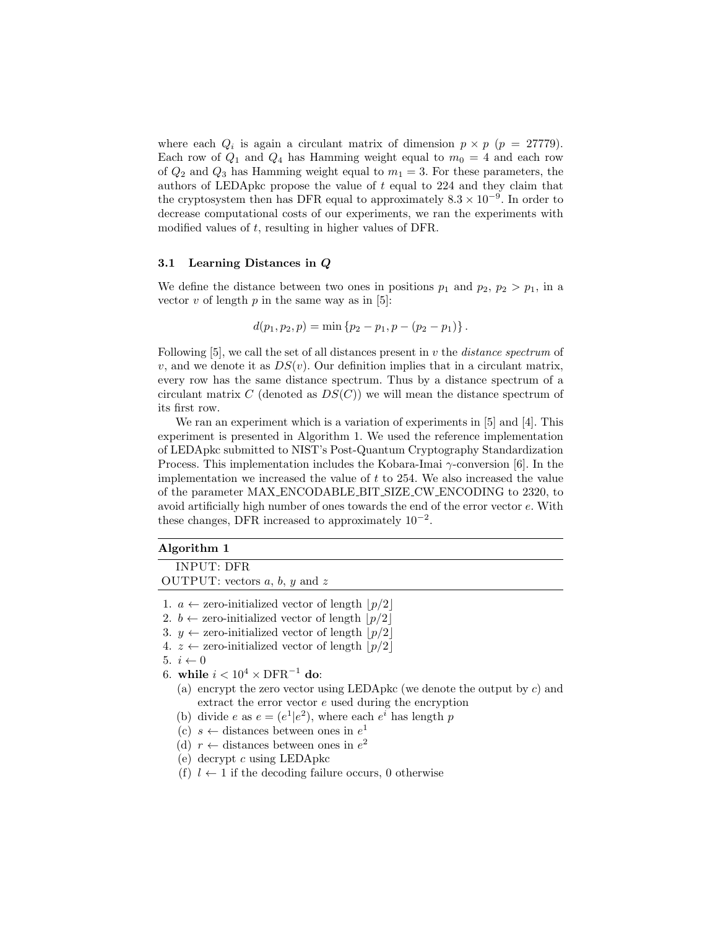where each  $Q_i$  is again a circulant matrix of dimension  $p \times p$  ( $p = 27779$ ). Each row of  $Q_1$  and  $Q_4$  has Hamming weight equal to  $m_0 = 4$  and each row of  $Q_2$  and  $Q_3$  has Hamming weight equal to  $m_1 = 3$ . For these parameters, the authors of LEDApkc propose the value of  $t$  equal to 224 and they claim that the cryptosystem then has DFR equal to approximately  $8.3 \times 10^{-9}$ . In order to decrease computational costs of our experiments, we ran the experiments with modified values of t, resulting in higher values of DFR.

#### 3.1 Learning Distances in Q

We define the distance between two ones in positions  $p_1$  and  $p_2$ ,  $p_2 > p_1$ , in a vector v of length  $p$  in the same way as in [5]:

$$
d(p_1, p_2, p) = \min \{p_2 - p_1, p - (p_2 - p_1)\}.
$$

Following  $[5]$ , we call the set of all distances present in v the *distance spectrum* of v, and we denote it as  $DS(v)$ . Our definition implies that in a circulant matrix, every row has the same distance spectrum. Thus by a distance spectrum of a circulant matrix C (denoted as  $DS(C)$ ) we will mean the distance spectrum of its first row.

We ran an experiment which is a variation of experiments in [5] and [4]. This experiment is presented in Algorithm 1. We used the reference implementation of LEDApkc submitted to NIST's Post-Quantum Cryptography Standardization Process. This implementation includes the Kobara-Imai  $\gamma$ -conversion [6]. In the implementation we increased the value of t to 254. We also increased the value of the parameter MAX ENCODABLE BIT SIZE CW ENCODING to 2320, to avoid artificially high number of ones towards the end of the error vector e. With these changes, DFR increased to approximately  $10^{-2}$ .

#### Algorithm 1

INPUT: DFR OUTPUT: vectors  $a, b, y$  and z 1.  $a \leftarrow$  zero-initialized vector of length  $|p/2|$ 2.  $b \leftarrow$  zero-initialized vector of length  $|p/2|$ 3.  $y \leftarrow$  zero-initialized vector of length  $|p/2|$ 4.  $z \leftarrow$  zero-initialized vector of length  $|p/2|$ 5.  $i \leftarrow 0$ 6. while  $i < 10^4 \times \text{DFR}^{-1}$  do: (a) encrypt the zero vector using LEDApkc (we denote the output by  $c$ ) and extract the error vector e used during the encryption (b) divide e as  $e = (e^1 | e^2)$ , where each  $e^i$  has length p (c)  $s \leftarrow$  distances between ones in  $e^1$ (d)  $r \leftarrow$  distances between ones in  $e^2$ (e) decrypt c using LEDApkc

(f)  $l \leftarrow 1$  if the decoding failure occurs, 0 otherwise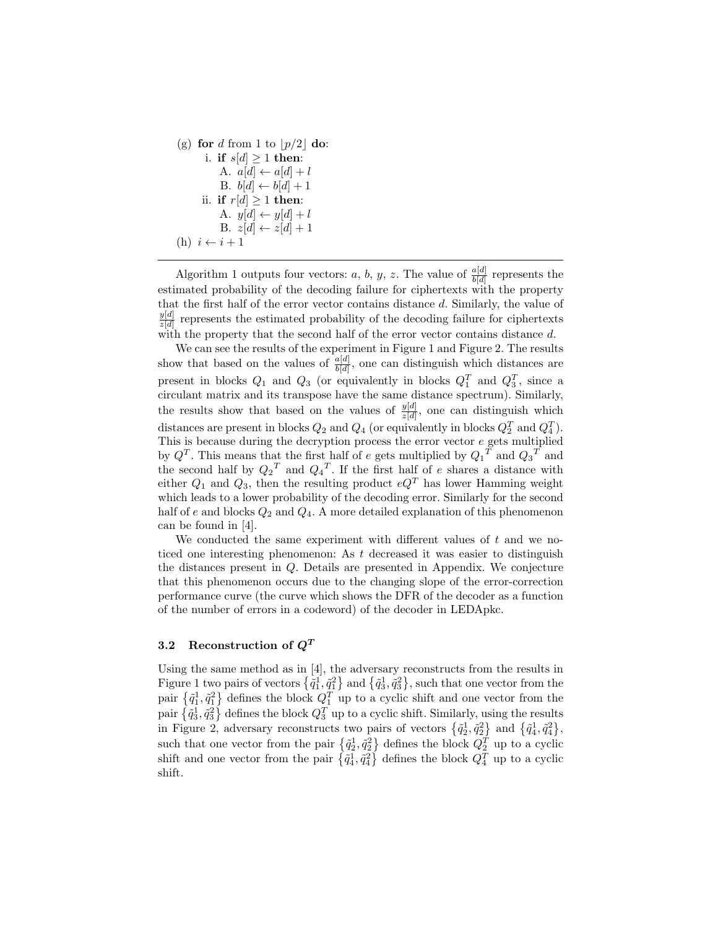```
(g) for d from 1 to |p/2| do:
i. if s[d] > 1 then:
    A. a[d] \leftarrow a[d] + lB. b[d] \leftarrow b[d] + 1ii. if r[d] \geq 1 then:
    A. y[d] \leftarrow y[d] + lB. z[d] \leftarrow z[d] + 1(h) i \leftarrow i + 1
```
Algorithm 1 outputs four vectors: a, b, y, z. The value of  $\frac{a[d]}{b[d]}$  represents the estimated probability of the decoding failure for ciphertexts with the property that the first half of the error vector contains distance d. Similarly, the value of  $y[d]$  $\frac{y|d}{z|d}$  represents the estimated probability of the decoding failure for ciphertexts with the property that the second half of the error vector contains distance d.

We can see the results of the experiment in Figure 1 and Figure 2. The results show that based on the values of  $\frac{a[d]}{b[d]}$ , one can distinguish which distances are present in blocks  $Q_1$  and  $Q_3$  (or equivalently in blocks  $Q_1^T$  and  $Q_3^T$ , since a circulant matrix and its transpose have the same distance spectrum). Similarly, the results show that based on the values of  $\frac{y[d]}{z[d]}$ , one can distinguish which distances are present in blocks  $Q_2$  and  $Q_4$  (or equivalently in blocks  $Q_2^T$  and  $Q_4^T$ ). This is because during the decryption process the error vector e gets multiplied by  $Q^T$ . This means that the first half of e gets multiplied by  $Q_1^T$  and  $Q_3^T$  and the second half by  $Q_2^T$  and  $Q_4^T$ . If the first half of e shares a distance with either  $Q_1$  and  $Q_3$ , then the resulting product  $eQ^T$  has lower Hamming weight which leads to a lower probability of the decoding error. Similarly for the second half of e and blocks  $Q_2$  and  $Q_4$ . A more detailed explanation of this phenomenon can be found in [4].

We conducted the same experiment with different values of  $t$  and we noticed one interesting phenomenon: As  $t$  decreased it was easier to distinguish the distances present in Q. Details are presented in Appendix. We conjecture that this phenomenon occurs due to the changing slope of the error-correction performance curve (the curve which shows the DFR of the decoder as a function of the number of errors in a codeword) of the decoder in LEDApkc.

#### 3.2 Reconstruction of  $Q^T$

Using the same method as in [4], the adversary reconstructs from the results in Figure 1 two pairs of vectors  $\{\tilde{q}_1^1, \tilde{q}_1^2\}$  and  $\{\tilde{q}_3^1, \tilde{q}_3^2\}$ , such that one vector from the pair  $\{\tilde{q}_1^1, \tilde{q}_1^2\}$  defines the block  $Q_1^T$  up to a cyclic shift and one vector from the pair  $\{\tilde{q}_3^1, \tilde{q}_3^2\}$  defines the block  $Q_3^T$  up to a cyclic shift. Similarly, using the results in Figure 2, adversary reconstructs two pairs of vectors  $\{\tilde{q}_2^1, \tilde{q}_2^2\}$  and  $\{\tilde{q}_4^1, \tilde{q}_4^2\}$ , such that one vector from the pair  $\{\tilde{q}_2^1, \tilde{q}_2^2\}$  defines the block  $Q_2^T$  up to a cyclic shift and one vector from the pair  $\{\tilde{q}_4^1, \tilde{q}_4^2\}$  defines the block  $Q_4^T$  up to a cyclic shift.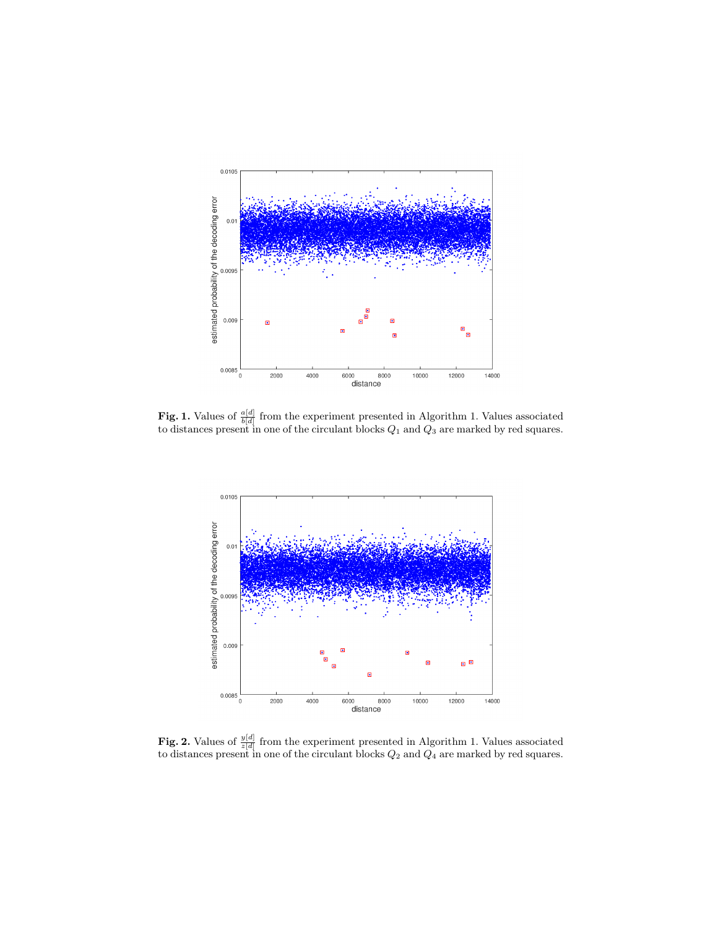

**Fig. 1.** Values of  $\frac{a[d]}{b[d]}$  from the experiment presented in Algorithm 1. Values associated to distances present in one of the circulant blocks  $Q_1$  and  $Q_3$  are marked by red squares.



**Fig. 2.** Values of  $\frac{y[d]}{z[d]}$  from the experiment presented in Algorithm 1. Values associated to distances present in one of the circulant blocks  $Q_2$  and  $Q_4$  are marked by red squares.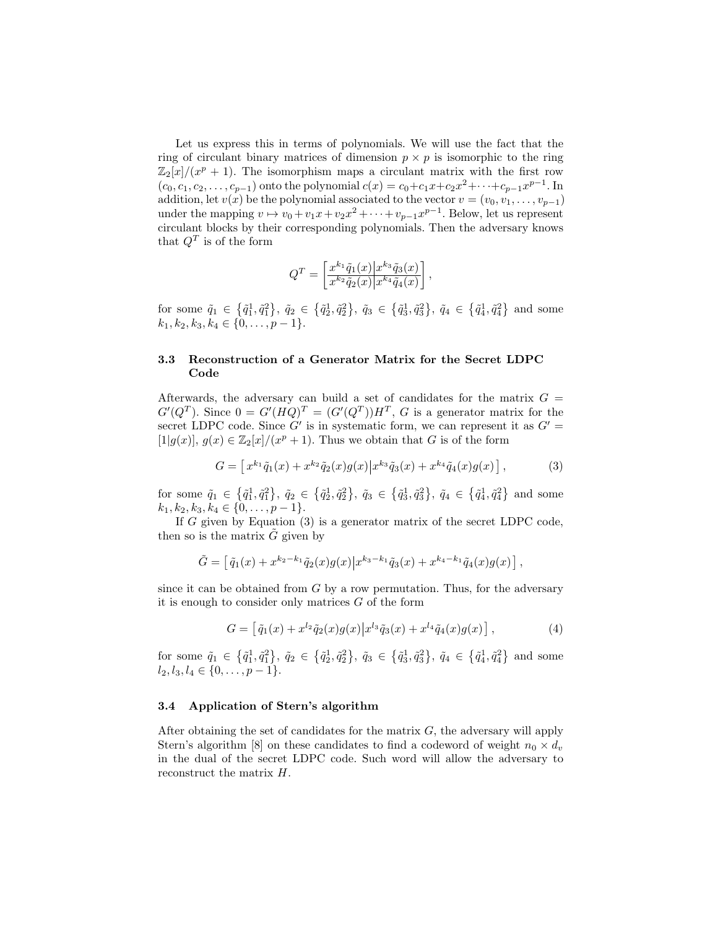Let us express this in terms of polynomials. We will use the fact that the ring of circulant binary matrices of dimension  $p \times p$  is isomorphic to the ring  $\mathbb{Z}_2[x]/(x^p + 1)$ . The isomorphism maps a circulant matrix with the first row  $(c_0, c_1, c_2, \ldots, c_{p-1})$  onto the polynomial  $c(x) = c_0 + c_1x + c_2x^2 + \cdots + c_{p-1}x^{p-1}$ . In addition, let  $v(x)$  be the polynomial associated to the vector  $v = (v_0, v_1, \ldots, v_{p-1})$ under the mapping  $v \mapsto v_0 + v_1x + v_2x^2 + \cdots + v_{p-1}x^{p-1}$ . Below, let us represent circulant blocks by their corresponding polynomials. Then the adversary knows that  $Q^T$  is of the form

$$
Q^T = \left[\frac{x^{k_1}\tilde{q}_1(x)|x^{k_3}\tilde{q}_3(x)}{x^{k_2}\tilde{q}_2(x)|x^{k_4}\tilde{q}_4(x)}\right],
$$

for some  $\tilde{q}_1 \in \{\tilde{q}_1^1, \tilde{q}_1^2\}, \tilde{q}_2 \in \{\tilde{q}_2^1, \tilde{q}_2^2\}, \tilde{q}_3 \in \{\tilde{q}_3^1, \tilde{q}_3^2\}, \tilde{q}_4 \in \{\tilde{q}_4^1, \tilde{q}_4^2\}$  and some  $k_1, k_2, k_3, k_4 \in \{0, \ldots, p-1\}.$ 

### 3.3 Reconstruction of a Generator Matrix for the Secret LDPC Code

Afterwards, the adversary can build a set of candidates for the matrix  $G =$  $G'(Q^T)$ . Since  $0 = G'(HQ)^T = (G'(Q^T))H^T$ , G is a generator matrix for the secret LDPC code. Since  $G'$  is in systematic form, we can represent it as  $G' =$ [1|g(x)],  $g(x) \in \mathbb{Z}_2[x]/(x^p + 1)$ . Thus we obtain that G is of the form

$$
G = \left[ x^{k_1} \tilde{q}_1(x) + x^{k_2} \tilde{q}_2(x) g(x) \middle| x^{k_3} \tilde{q}_3(x) + x^{k_4} \tilde{q}_4(x) g(x) \right],\tag{3}
$$

for some  $\tilde{q}_1 \in \{\tilde{q}_1^1, \tilde{q}_1^2\}, \tilde{q}_2 \in \{\tilde{q}_2^1, \tilde{q}_2^2\}, \tilde{q}_3 \in \{\tilde{q}_3^1, \tilde{q}_3^2\}, \tilde{q}_4 \in \{\tilde{q}_4^1, \tilde{q}_4^2\}$  and some  $k_1, k_2, k_3, k_4 \in \{0, \ldots, p-1\}.$ 

If  $G$  given by Equation (3) is a generator matrix of the secret LDPC code, then so is the matrix  $\ddot{G}$  given by

$$
\tilde{G} = \left[ \tilde{q}_1(x) + x^{k_2 - k_1} \tilde{q}_2(x) g(x) \big| x^{k_3 - k_1} \tilde{q}_3(x) + x^{k_4 - k_1} \tilde{q}_4(x) g(x) \right],
$$

since it can be obtained from  $G$  by a row permutation. Thus, for the adversary it is enough to consider only matrices  $G$  of the form

$$
G = \left[ \tilde{q}_1(x) + x^{l_2} \tilde{q}_2(x) g(x) \middle| x^{l_3} \tilde{q}_3(x) + x^{l_4} \tilde{q}_4(x) g(x) \right],\tag{4}
$$

for some  $\tilde{q}_1 \in \{\tilde{q}_1^1, \tilde{q}_1^2\}, \tilde{q}_2 \in \{\tilde{q}_2^1, \tilde{q}_2^2\}, \tilde{q}_3 \in \{\tilde{q}_3^1, \tilde{q}_3^2\}, \tilde{q}_4 \in \{\tilde{q}_4^1, \tilde{q}_4^2\}$  and some  $l_2, l_3, l_4 \in \{0, \ldots, p-1\}.$ 

#### 3.4 Application of Stern's algorithm

After obtaining the set of candidates for the matrix  $G$ , the adversary will apply Stern's algorithm [8] on these candidates to find a codeword of weight  $n_0 \times d_v$ in the dual of the secret LDPC code. Such word will allow the adversary to reconstruct the matrix H.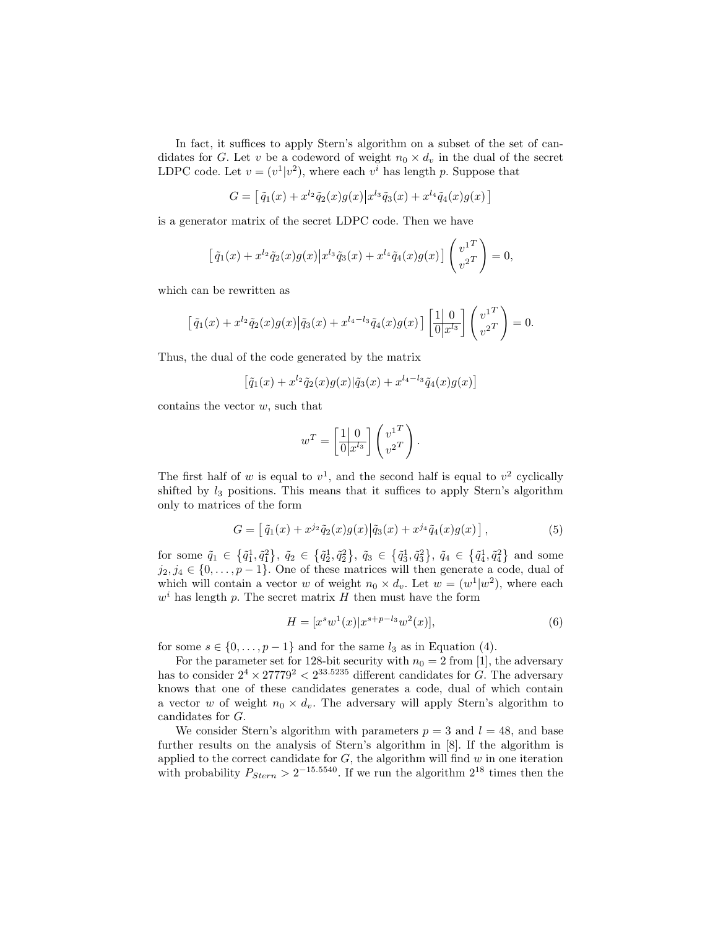In fact, it suffices to apply Stern's algorithm on a subset of the set of candidates for G. Let v be a codeword of weight  $n_0 \times d_v$  in the dual of the secret LDPC code. Let  $v = (v^1|v^2)$ , where each  $v^i$  has length p. Suppose that

 $G = \left[ \tilde{q}_1(x) + x^{l_2} \tilde{q}_2(x) g(x) \right] x^{l_3} \tilde{q}_3(x) + x^{l_4} \tilde{q}_4(x) g(x) \left]$ 

is a generator matrix of the secret LDPC code. Then we have

$$
\left[\tilde{q}_1(x) + x^{l_2} \tilde{q}_2(x) g(x) \middle| x^{l_3} \tilde{q}_3(x) + x^{l_4} \tilde{q}_4(x) g(x)\right] \begin{pmatrix} v^1 \\ v^2 \end{pmatrix} = 0,
$$

which can be rewritten as

$$
\left[\tilde{q}_1(x) + x^{l_2} \tilde{q}_2(x) g(x) \middle| \tilde{q}_3(x) + x^{l_4-l_3} \tilde{q}_4(x) g(x)\right] \left[\frac{1}{0} \middle| \frac{0}{x^{l_3}}\right] \begin{pmatrix} v^1 \\ v^2 \end{pmatrix} = 0.
$$

Thus, the dual of the code generated by the matrix

$$
[\tilde{q}_1(x) + x^{l_2} \tilde{q}_2(x) g(x) | \tilde{q}_3(x) + x^{l_4 - l_3} \tilde{q}_4(x) g(x)]
$$

contains the vector  $w$ , such that

$$
w^T = \left[\frac{1 \mid 0}{0 \mid x^{l_3}}\right] \begin{pmatrix} v^1 \\ v^2 \end{pmatrix}.
$$

The first half of w is equal to  $v^1$ , and the second half is equal to  $v^2$  cyclically shifted by  $l_3$  positions. This means that it suffices to apply Stern's algorithm only to matrices of the form

$$
G = \left[ \tilde{q}_1(x) + x^{j_2} \tilde{q}_2(x) g(x) | \tilde{q}_3(x) + x^{j_4} \tilde{q}_4(x) g(x) \right],
$$
 (5)

for some  $\tilde{q}_1 \in \{\tilde{q}_1^1, \tilde{q}_1^2\}, \tilde{q}_2 \in \{\tilde{q}_2^1, \tilde{q}_2^2\}, \tilde{q}_3 \in \{\tilde{q}_3^1, \tilde{q}_3^2\}, \tilde{q}_4 \in \{\tilde{q}_4^1, \tilde{q}_4^2\}$  and some  $j_2, j_4 \in \{0, \ldots, p-1\}$ . One of these matrices will then generate a code, dual of which will contain a vector w of weight  $n_0 \times d_v$ . Let  $w = (w^1 | w^2)$ , where each  $w<sup>i</sup>$  has length p. The secret matrix H then must have the form

$$
H = [xs w1(x)|xs+p-l3 w2(x)],
$$
\n(6)

for some  $s \in \{0, \ldots, p-1\}$  and for the same  $l_3$  as in Equation (4).

For the parameter set for 128-bit security with  $n_0 = 2$  from [1], the adversary has to consider  $2^4 \times 27779^2 < 2^{33.5235}$  different candidates for G. The adversary knows that one of these candidates generates a code, dual of which contain a vector w of weight  $n_0 \times d_v$ . The adversary will apply Stern's algorithm to candidates for G.

We consider Stern's algorithm with parameters  $p = 3$  and  $l = 48$ , and base further results on the analysis of Stern's algorithm in [8]. If the algorithm is applied to the correct candidate for  $G$ , the algorithm will find  $w$  in one iteration with probability  $P_{Stern} > 2^{-15.5540}$ . If we run the algorithm  $2^{18}$  times then the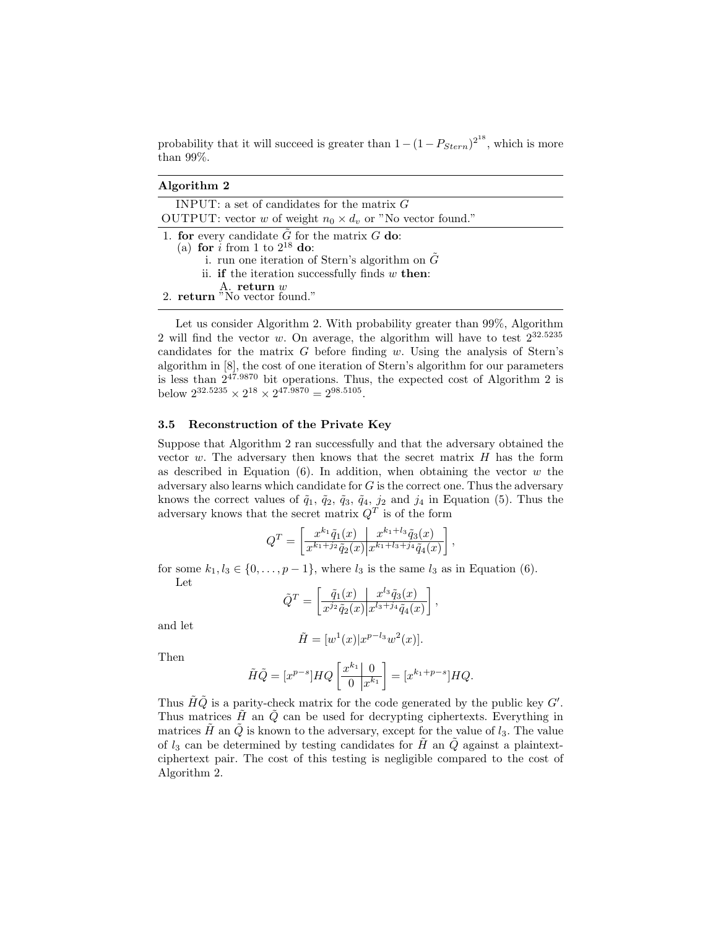probability that it will succeed is greater than  $1 - (1 - P_{Stern})^{2^{18}}$ , which is more than 99%.

| Algorithm 2                                                                                                                                                                                             |
|---------------------------------------------------------------------------------------------------------------------------------------------------------------------------------------------------------|
| INPUT: a set of candidates for the matrix $G$                                                                                                                                                           |
| OUTPUT: vector w of weight $n_0 \times d_v$ or "No vector found."                                                                                                                                       |
| 1. for every candidate $G$ for the matrix $G$ do:<br>(a) for $i$ from 1 to $2^{18}$ do:<br>i. run one iteration of Stern's algorithm on $G$<br>ii. <b>if</b> the iteration successfully finds $w$ then: |
| A. return $w$<br>2. return "No vector found."                                                                                                                                                           |

Let us consider Algorithm 2. With probability greater than 99%, Algorithm 2 will find the vector w. On average, the algorithm will have to test  $2^{32.5235}$ candidates for the matrix  $G$  before finding w. Using the analysis of Stern's algorithm in [8], the cost of one iteration of Stern's algorithm for our parameters is less than  $2^{47.9870}$  bit operations. Thus, the expected cost of Algorithm 2 is below  $2^{32.5235} \times 2^{18} \times 2^{47.9870} = 2^{98.5105}$ .

#### 3.5 Reconstruction of the Private Key

Suppose that Algorithm 2 ran successfully and that the adversary obtained the vector  $w$ . The adversary then knows that the secret matrix  $H$  has the form as described in Equation  $(6)$ . In addition, when obtaining the vector w the adversary also learns which candidate for  $G$  is the correct one. Thus the adversary knows the correct values of  $\tilde{q}_1$ ,  $\tilde{q}_2$ ,  $\tilde{q}_3$ ,  $\tilde{q}_4$ ,  $j_2$  and  $j_4$  in Equation (5). Thus the adversary knows that the secret matrix  $Q<sup>T</sup>$  is of the form

$$
Q^T = \left[ \frac{x^{k_1} \tilde{q}_1(x)}{x^{k_1+j_2} \tilde{q}_2(x)} \frac{x^{k_1+l_3} \tilde{q}_3(x)}{x^{k_1+l_3+j_4} \tilde{q}_4(x)} \right],
$$

for some  $k_1, l_3 \in \{0, \ldots, p-1\}$ , where  $l_3$  is the same  $l_3$  as in Equation (6). Let

$$
\tilde{Q}^T = \left[ \frac{\tilde{q}_1(x)}{x^{j_2} \tilde{q}_2(x)} \bigg| \frac{x^{l_3} \tilde{q}_3(x)}{x^{l_3 + j_4} \tilde{q}_4(x)} \right],
$$

and let

$$
\tilde{H} = [w^1(x)|x^{p-l_3}w^2(x)].
$$

Then

$$
\tilde{H}\tilde{Q} = [x^{p-s}]HQ\left[\frac{x^{k_1} \mid 0}{0 \mid x^{k_1}}\right] = [x^{k_1+p-s}]HQ.
$$

Thus  $\tilde{H}\tilde{Q}$  is a parity-check matrix for the code generated by the public key  $G'.$ Thus matrices  $\tilde{H}$  an  $\tilde{Q}$  can be used for decrypting ciphertexts. Everything in matrices  $\tilde{H}$  an  $\tilde{Q}$  is known to the adversary, except for the value of  $l_3$ . The value of  $l_3$  can be determined by testing candidates for H an Q against a plaintextciphertext pair. The cost of this testing is negligible compared to the cost of Algorithm 2.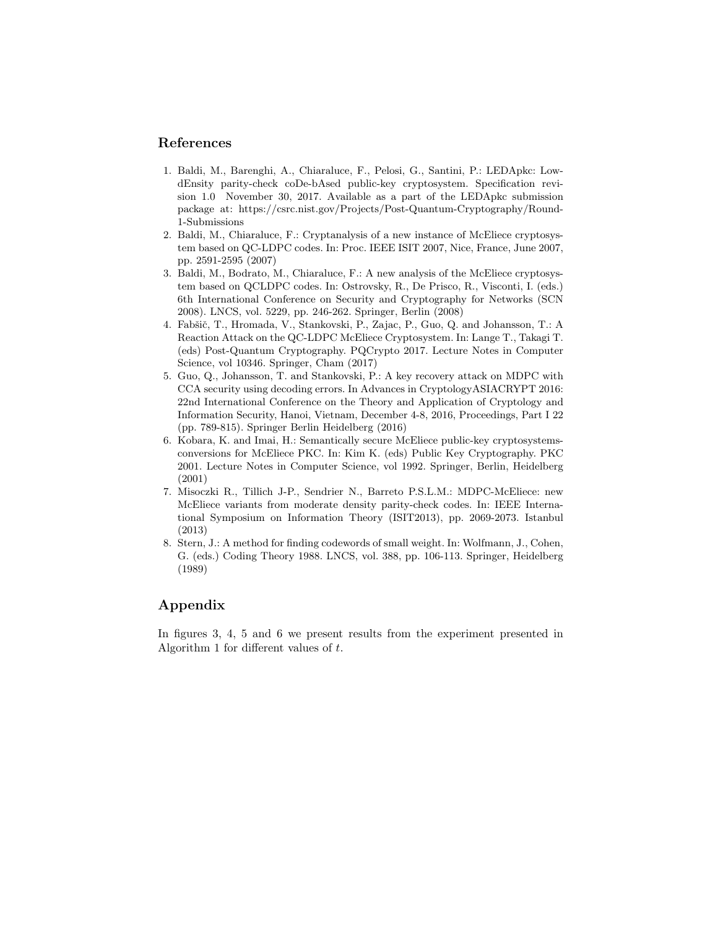# References

- 1. Baldi, M., Barenghi, A., Chiaraluce, F., Pelosi, G., Santini, P.: LEDApkc: LowdEnsity parity-check coDe-bAsed public-key cryptosystem. Specification revision 1.0 November 30, 2017. Available as a part of the LEDApkc submission package at: https://csrc.nist.gov/Projects/Post-Quantum-Cryptography/Round-1-Submissions
- 2. Baldi, M., Chiaraluce, F.: Cryptanalysis of a new instance of McEliece cryptosystem based on QC-LDPC codes. In: Proc. IEEE ISIT 2007, Nice, France, June 2007, pp. 2591-2595 (2007)
- 3. Baldi, M., Bodrato, M., Chiaraluce, F.: A new analysis of the McEliece cryptosystem based on QCLDPC codes. In: Ostrovsky, R., De Prisco, R., Visconti, I. (eds.) 6th International Conference on Security and Cryptography for Networks (SCN 2008). LNCS, vol. 5229, pp. 246-262. Springer, Berlin (2008)
- 4. Fabšič, T., Hromada, V., Stankovski, P., Zajac, P., Guo, Q. and Johansson, T.: A Reaction Attack on the QC-LDPC McEliece Cryptosystem. In: Lange T., Takagi T. (eds) Post-Quantum Cryptography. PQCrypto 2017. Lecture Notes in Computer Science, vol 10346. Springer, Cham (2017)
- 5. Guo, Q., Johansson, T. and Stankovski, P.: A key recovery attack on MDPC with CCA security using decoding errors. In Advances in CryptologyASIACRYPT 2016: 22nd International Conference on the Theory and Application of Cryptology and Information Security, Hanoi, Vietnam, December 4-8, 2016, Proceedings, Part I 22 (pp. 789-815). Springer Berlin Heidelberg (2016)
- 6. Kobara, K. and Imai, H.: Semantically secure McEliece public-key cryptosystemsconversions for McEliece PKC. In: Kim K. (eds) Public Key Cryptography. PKC 2001. Lecture Notes in Computer Science, vol 1992. Springer, Berlin, Heidelberg (2001)
- 7. Misoczki R., Tillich J-P., Sendrier N., Barreto P.S.L.M.: MDPC-McEliece: new McEliece variants from moderate density parity-check codes. In: IEEE International Symposium on Information Theory (ISIT2013), pp. 2069-2073. Istanbul (2013)
- 8. Stern, J.: A method for finding codewords of small weight. In: Wolfmann, J., Cohen, G. (eds.) Coding Theory 1988. LNCS, vol. 388, pp. 106-113. Springer, Heidelberg (1989)

# Appendix

In figures 3, 4, 5 and 6 we present results from the experiment presented in Algorithm 1 for different values of t.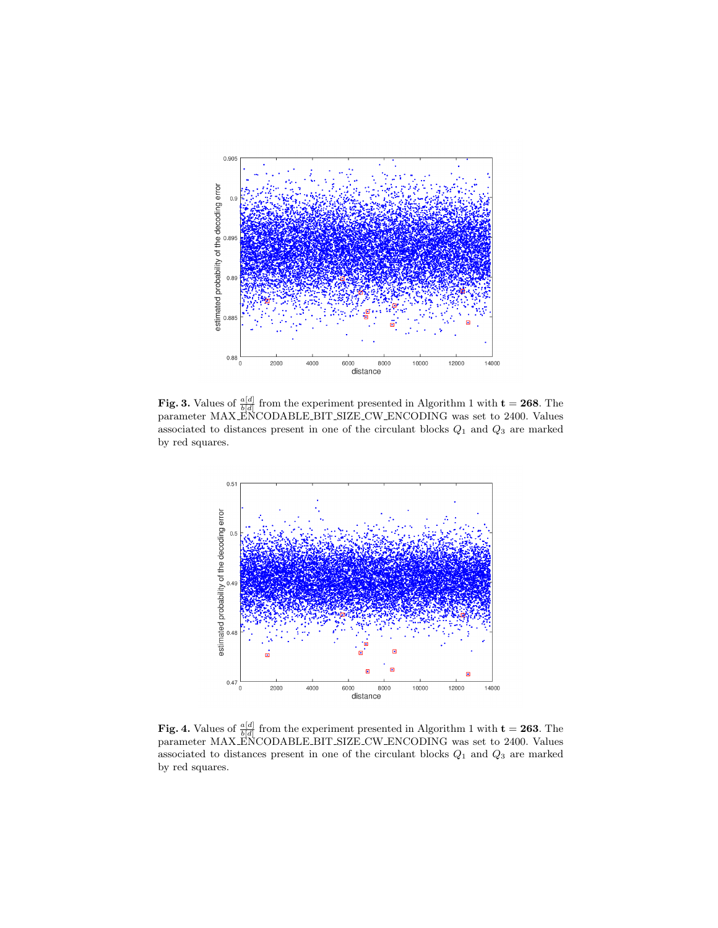

**Fig. 3.** Values of  $\frac{a[d]}{b[d]}$  from the experiment presented in Algorithm 1 with  $t = 268$ . The parameter MAX ENCODABLE BIT SIZE CW ENCODING was set to 2400. Values associated to distances present in one of the circulant blocks  $Q_1$  and  $Q_3$  are marked by red squares.



**Fig. 4.** Values of  $\frac{a[d]}{b[d]}$  from the experiment presented in Algorithm 1 with  $t = 263$ . The parameter MAX ENCODABLE BIT SIZE CW ENCODING was set to 2400. Values associated to distances present in one of the circulant blocks  $Q_1$  and  $Q_3$  are marked by red squares.